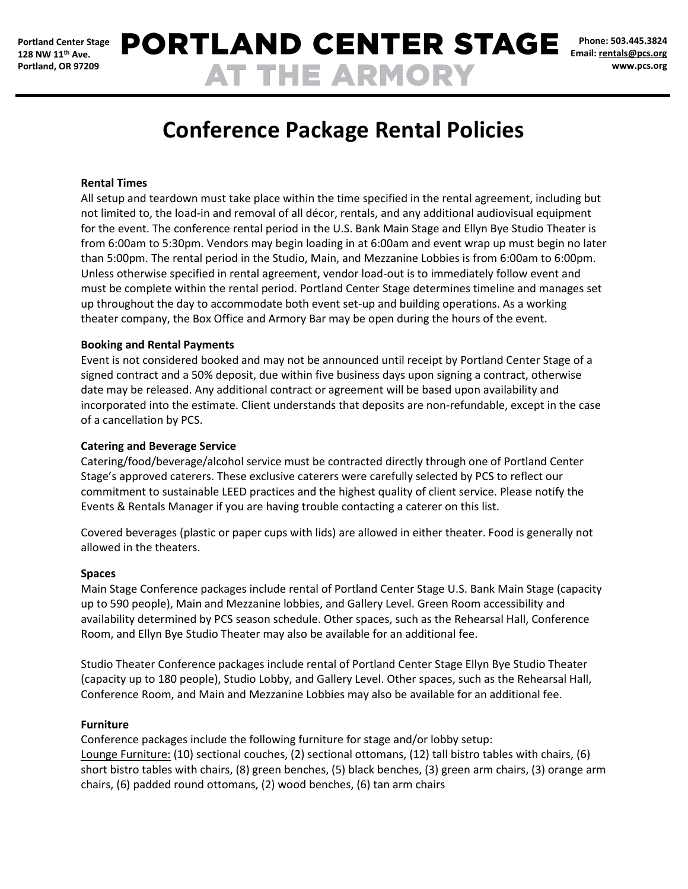**Phone: 503.445.3824 Email[: rentals@pcs.org](mailto:rentals@pcs.org) www.pcs.org**

# **Conference Package Rental Policies**

# **Rental Times**

All setup and teardown must take place within the time specified in the rental agreement, including but not limited to, the load-in and removal of all décor, rentals, and any additional audiovisual equipment for the event. The conference rental period in the U.S. Bank Main Stage and Ellyn Bye Studio Theater is from 6:00am to 5:30pm. Vendors may begin loading in at 6:00am and event wrap up must begin no later than 5:00pm. The rental period in the Studio, Main, and Mezzanine Lobbies is from 6:00am to 6:00pm. Unless otherwise specified in rental agreement, vendor load-out is to immediately follow event and must be complete within the rental period. Portland Center Stage determines timeline and manages set up throughout the day to accommodate both event set-up and building operations. As a working theater company, the Box Office and Armory Bar may be open during the hours of the event.

#### **Booking and Rental Payments**

Event is not considered booked and may not be announced until receipt by Portland Center Stage of a signed contract and a 50% deposit, due within five business days upon signing a contract, otherwise date may be released. Any additional contract or agreement will be based upon availability and incorporated into the estimate. Client understands that deposits are non-refundable, except in the case of a cancellation by PCS.

#### **Catering and Beverage Service**

Catering/food/beverage/alcohol service must be contracted directly through one of Portland Center Stage's approved caterers. These exclusive caterers were carefully selected by PCS to reflect our commitment to sustainable LEED practices and the highest quality of client service. Please notify the Events & Rentals Manager if you are having trouble contacting a caterer on this list.

Covered beverages (plastic or paper cups with lids) are allowed in either theater. Food is generally not allowed in the theaters.

#### **Spaces**

Main Stage Conference packages include rental of Portland Center Stage U.S. Bank Main Stage (capacity up to 590 people), Main and Mezzanine lobbies, and Gallery Level. Green Room accessibility and availability determined by PCS season schedule. Other spaces, such as the Rehearsal Hall, Conference Room, and Ellyn Bye Studio Theater may also be available for an additional fee.

Studio Theater Conference packages include rental of Portland Center Stage Ellyn Bye Studio Theater (capacity up to 180 people), Studio Lobby, and Gallery Level. Other spaces, such as the Rehearsal Hall, Conference Room, and Main and Mezzanine Lobbies may also be available for an additional fee.

#### **Furniture**

Conference packages include the following furniture for stage and/or lobby setup: Lounge Furniture: (10) sectional couches, (2) sectional ottomans, (12) tall bistro tables with chairs, (6) short bistro tables with chairs, (8) green benches, (5) black benches, (3) green arm chairs, (3) orange arm chairs, (6) padded round ottomans, (2) wood benches, (6) tan arm chairs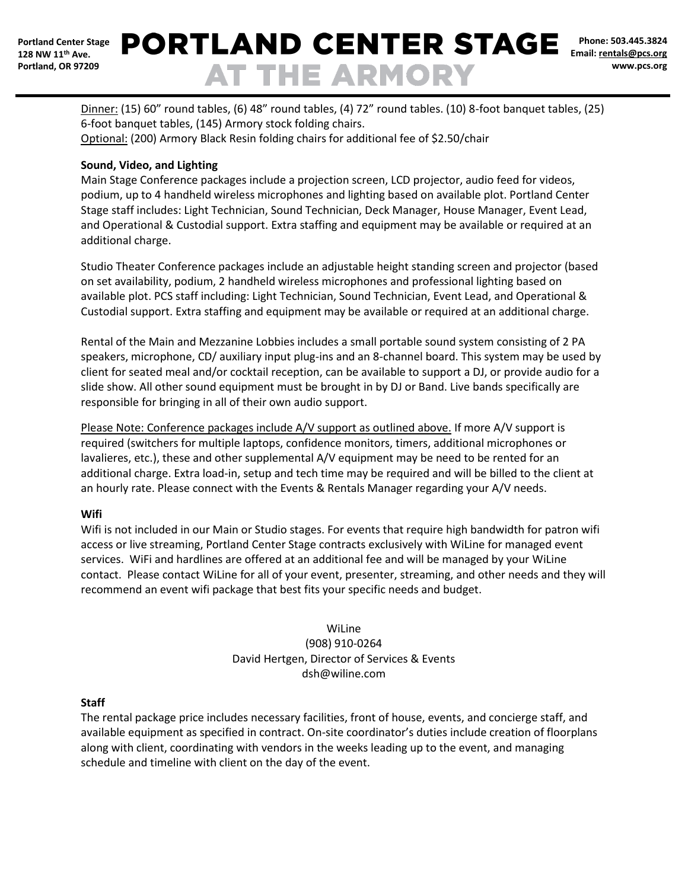# **PORTLAND CENTER STAGE AT THE ARMORY**

**Phone: 503.445.3824 Email[: rentals@pcs.org](mailto:rentals@pcs.org) www.pcs.org**

Dinner: (15) 60" round tables, (6) 48" round tables, (4) 72" round tables. (10) 8-foot banquet tables, (25) 6-foot banquet tables, (145) Armory stock folding chairs. Optional: (200) Armory Black Resin folding chairs for additional fee of \$2.50/chair

# **Sound, Video, and Lighting**

Main Stage Conference packages include a projection screen, LCD projector, audio feed for videos, podium, up to 4 handheld wireless microphones and lighting based on available plot. Portland Center Stage staff includes: Light Technician, Sound Technician, Deck Manager, House Manager, Event Lead, and Operational & Custodial support. Extra staffing and equipment may be available or required at an additional charge.

Studio Theater Conference packages include an adjustable height standing screen and projector (based on set availability, podium, 2 handheld wireless microphones and professional lighting based on available plot. PCS staff including: Light Technician, Sound Technician, Event Lead, and Operational & Custodial support. Extra staffing and equipment may be available or required at an additional charge.

Rental of the Main and Mezzanine Lobbies includes a small portable sound system consisting of 2 PA speakers, microphone, CD/ auxiliary input plug-ins and an 8-channel board. This system may be used by client for seated meal and/or cocktail reception, can be available to support a DJ, or provide audio for a slide show. All other sound equipment must be brought in by DJ or Band. Live bands specifically are responsible for bringing in all of their own audio support.

Please Note: Conference packages include A/V support as outlined above. If more A/V support is required (switchers for multiple laptops, confidence monitors, timers, additional microphones or lavalieres, etc.), these and other supplemental A/V equipment may be need to be rented for an additional charge. Extra load-in, setup and tech time may be required and will be billed to the client at an hourly rate. Please connect with the Events & Rentals Manager regarding your A/V needs.

# **Wifi**

Wifi is not included in our Main or Studio stages. For events that require high bandwidth for patron wifi access or live streaming, Portland Center Stage contracts exclusively with WiLine for managed event services. WiFi and hardlines are offered at an additional fee and will be managed by your WiLine contact. Please contact WiLine for all of your event, presenter, streaming, and other needs and they will recommend an event wifi package that best fits your specific needs and budget.

# WiLine (908) 910-0264 David Hertgen, Director of Services & Events dsh@wiline.com

# **Staff**

The rental package price includes necessary facilities, front of house, events, and concierge staff, and available equipment as specified in contract. On-site coordinator's duties include creation of floorplans along with client, coordinating with vendors in the weeks leading up to the event, and managing schedule and timeline with client on the day of the event.